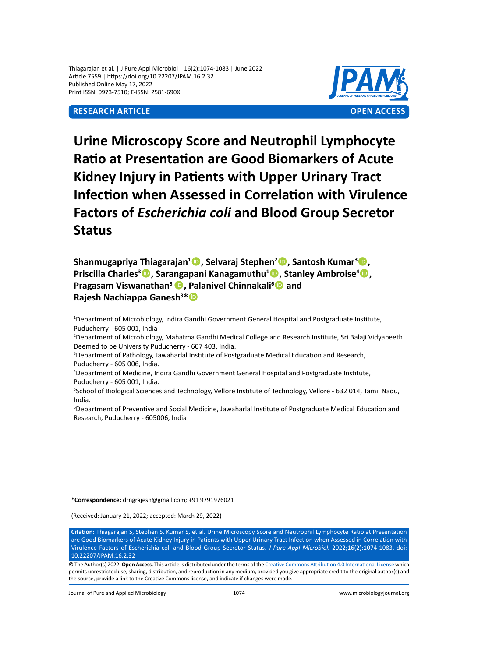Thiagarajan et al. | J Pure Appl Microbiol | 16(2):1074-1083 | June 2022 Article 7559 | https://doi.org/10.22207/JPAM.16.2.32 Published Online May 17, 2022 Print ISSN: 0973-7510; E-ISSN: 2581-690X



**Urine Microscopy Score and Neutrophil Lymphocyte Ratio at Presentation are Good Biomarkers of Acute Kidney Injury in Patients with Upper Urinary Tract Infection when Assessed in Correlation with Virulence Factors of** *Escherichia coli* **and Blood Group Secretor Status**

**Shanmugapriya Thiagarajan1 , Selvaraj Stephen2 , Santosh Kumar3 , Priscilla Charles<sup>3</sup><sup>®</sup>, Sarangapani Kanagamuthu<sup>1</sup><sup>®</sup>, Stanley Ambroise<sup>4</sup><sup>®</sup>, Pragasam Viswanathan<sup>5</sup>, Palanivel Chinnakali<sup>6</sup> and Rajesh Nachiappa Ganesh<sup>3</sup> \***

1 Department of Microbiology, Indira Gandhi Government General Hospital and Postgraduate Institute, Puducherry - 605 001, India

2 Department of Microbiology, Mahatma Gandhi Medical College and Research Institute, Sri Balaji Vidyapeeth Deemed to be University Puducherry - 607 403, India.

3 Department of Pathology, Jawaharlal Institute of Postgraduate Medical Education and Research, Puducherry - 605 006, India.

4 Department of Medicine, Indira Gandhi Government General Hospital and Postgraduate Institute, Puducherry - 605 001, India.

5 School of Biological Sciences and Technology, Vellore Institute of Technology, Vellore - 632 014, Tamil Nadu, India.

6 Department of Preventive and Social Medicine, Jawaharlal Institute of Postgraduate Medical Education and Research, Puducherry - 605006, India

**\*Correspondence:** drngrajesh@gmail.com; +91 9791976021

(Received: January 21, 2022; accepted: March 29, 2022)

**Citation:** Thiagarajan S, Stephen S, Kumar S, et al. Urine Microscopy Score and Neutrophil Lymphocyte Ratio at Presentation are Good Biomarkers of Acute Kidney Injury in Patients with Upper Urinary Tract Infection when Assessed in Correlation with Virulence Factors of Escherichia coli and Blood Group Secretor Status. *J Pure Appl Microbiol.* 2022;16(2):1074-1083. doi: 10.22207/JPAM.16.2.32

© The Author(s) 2022. **Open Access**. This article is distributed under the terms of the [Creative Commons Attribution 4.0 International License](https://creativecommons.org/licenses/by/4.0/) which permits unrestricted use, sharing, distribution, and reproduction in any medium, provided you give appropriate credit to the original author(s) and the source, provide a link to the Creative Commons license, and indicate if changes were made.

Journal of Pure and Applied Microbiology 1074 www.microbiologyjournal.org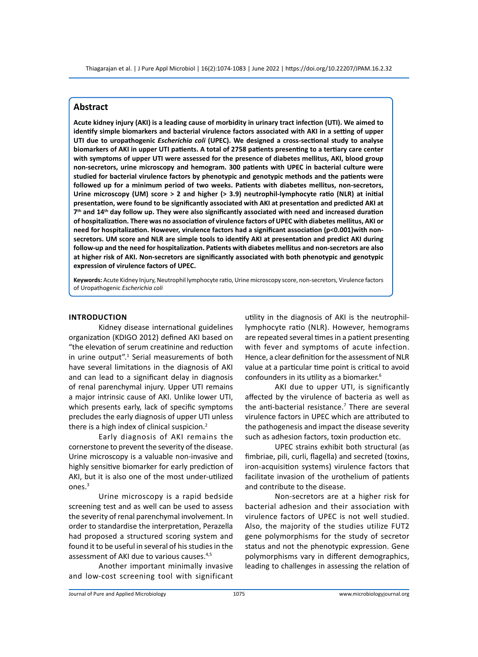# **Abstract**

**Acute kidney injury (AKI) is a leading cause of morbidity in urinary tract infection (UTI). We aimed to identify simple biomarkers and bacterial virulence factors associated with AKI in a setting of upper UTI due to uropathogenic** *Escherichia coli* **(UPEC). We designed a cross-sectional study to analyse biomarkers of AKI in upper UTI patients. A total of 2758 patients presenting to a tertiary care center with symptoms of upper UTI were assessed for the presence of diabetes mellitus, AKI, blood group non-secretors, urine microscopy and hemogram. 300 patients with UPEC in bacterial culture were studied for bacterial virulence factors by phenotypic and genotypic methods and the patients were followed up for a minimum period of two weeks. Patients with diabetes mellitus, non-secretors, Urine microscopy (UM) score > 2 and higher (> 3.9) neutrophil-lymphocyte ratio (NLR) at initial presentation, were found to be significantly associated with AKI at presentation and predicted AKI at 7th and 14th day follow up. They were also significantly associated with need and increased duration of hospitalization. There was no association of virulence factors of UPEC with diabetes mellitus, AKI or need for hospitalization. However, virulence factors had a significant association (p<0.001)with nonsecretors. UM score and NLR are simple tools to identify AKI at presentation and predict AKI during follow-up and the need for hospitalization. Patients with diabetes mellitus and non-secretors are also at higher risk of AKI. Non-secretors are significantly associated with both phenotypic and genotypic expression of virulence factors of UPEC.**

**Keywords:** Acute Kidney Injury, Neutrophil lymphocyte ratio, Urine microscopy score, non-secretors, Virulence factors of Uropathogenic *Escherichia coli*

#### **Introduction**

Kidney disease international guidelines organization (KDIGO 2012) defined AKI based on "the elevation of serum creatinine and reduction in urine output".<sup>1</sup> Serial measurements of both have several limitations in the diagnosis of AKI and can lead to a significant delay in diagnosis of renal parenchymal injury. Upper UTI remains a major intrinsic cause of AKI. Unlike lower UTI, which presents early, lack of specific symptoms precludes the early diagnosis of upper UTI unless there is a high index of clinical suspicion. $2$ 

Early diagnosis of AKI remains the cornerstone to prevent the severity of the disease. Urine microscopy is a valuable non-invasive and highly sensitive biomarker for early prediction of AKI, but it is also one of the most under-utilized ones.3

Urine microscopy is a rapid bedside screening test and as well can be used to assess the severity of renal parenchymal involvement. In order to standardise the interpretation, Perazella had proposed a structured scoring system and found it to be useful in several of his studies in the assessment of AKI due to various causes.<sup>4,5</sup>

Another important minimally invasive and low-cost screening tool with significant

utility in the diagnosis of AKI is the neutrophillymphocyte ratio (NLR). However, hemograms are repeated several times in a patient presenting with fever and symptoms of acute infection. Hence, a clear definition for the assessment of NLR value at a particular time point is critical to avoid confounders in its utility as a biomarker.<sup>6</sup>

AKI due to upper UTI, is significantly affected by the virulence of bacteria as well as the anti-bacterial resistance.<sup>7</sup> There are several virulence factors in UPEC which are attributed to the pathogenesis and impact the disease severity such as adhesion factors, toxin production etc.

UPEC strains exhibit both structural (as fimbriae, pili, curli, flagella) and secreted (toxins, iron-acquisition systems) virulence factors that facilitate invasion of the urothelium of patients and contribute to the disease.

Non-secretors are at a higher risk for bacterial adhesion and their association with virulence factors of UPEC is not well studied. Also, the majority of the studies utilize FUT2 gene polymorphisms for the study of secretor status and not the phenotypic expression. Gene polymorphisms vary in different demographics, leading to challenges in assessing the relation of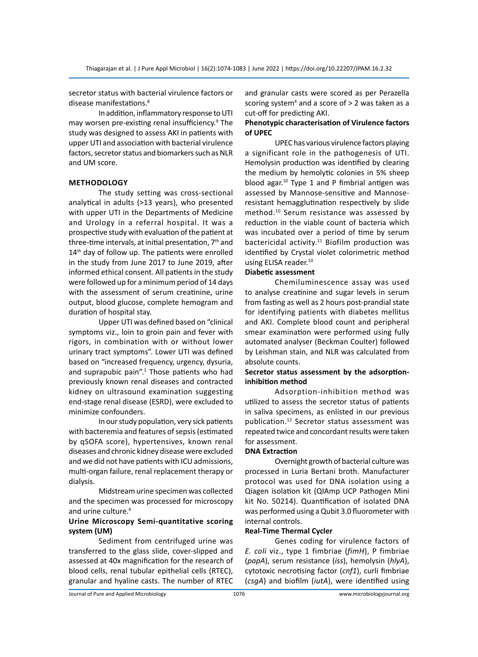secretor status with bacterial virulence factors or disease manifestations.<sup>8</sup>

In addition, inflammatory response to UTI may worsen pre-existing renal insufficiency.<sup>9</sup> The study was designed to assess AKI in patients with upper UTI and association with bacterial virulence factors, secretor status and biomarkers such as NLR and UM score.

# **Methodology**

The study setting was cross-sectional analytical in adults (>13 years), who presented with upper UTI in the Departments of Medicine and Urology in a referral hospital. It was a prospective study with evaluation of the patient at three-time intervals, at initial presentation,  $7<sup>th</sup>$  and 14<sup>th</sup> day of follow up. The patients were enrolled in the study from June 2017 to June 2019, after informed ethical consent. All patients in the study were followed up for a minimum period of 14 days with the assessment of serum creatinine, urine output, blood glucose, complete hemogram and duration of hospital stay.

Upper UTI was defined based on "clinical symptoms viz., loin to groin pain and fever with rigors, in combination with or without lower urinary tract symptoms". Lower UTI was defined based on "increased frequency, urgency, dysuria, and suprapubic pain".<sup>1</sup> Those patients who had previously known renal diseases and contracted kidney on ultrasound examination suggesting end-stage renal disease (ESRD), were excluded to minimize confounders.

In our study population, very sick patients with bacteremia and features of sepsis (estimated by qSOFA score), hypertensives, known renal diseases and chronic kidney disease were excluded and we did not have patients with ICU admissions, multi-organ failure, renal replacement therapy or dialysis.

Midstream urine specimen was collected and the specimen was processed for microscopy and urine culture.<sup>6</sup>

# **Urine Microscopy Semi-quantitative scoring system (UM)**

Sediment from centrifuged urine was transferred to the glass slide, cover-slipped and assessed at 40x magnification for the research of blood cells, renal tubular epithelial cells (RTEC), granular and hyaline casts. The number of RTEC and granular casts were scored as per Perazella scoring system<sup>4</sup> and a score of > 2 was taken as a cut-off for predicting AKI.

# **Phenotypic characterisation of Virulence factors of UPEC**

UPEC has various virulence factors playing a significant role in the pathogenesis of UTI. Hemolysin production was identified by clearing the medium by hemolytic colonies in 5% sheep blood agar.<sup>10</sup> Type 1 and P fimbrial antigen was assessed by Mannose-sensitive and Mannoseresistant hemagglutination respectively by slide method.<sup>10</sup> Serum resistance was assessed by reduction in the viable count of bacteria which was incubated over a period of time by serum bactericidal activity.<sup>11</sup> Biofilm production was identified by Crystal violet colorimetric method using ELISA reader.<sup>10</sup>

## **Diabetic assessment**

Chemiluminescence assay was used to analyse creatinine and sugar levels in serum from fasting as well as 2 hours post-prandial state for identifying patients with diabetes mellitus and AKI. Complete blood count and peripheral smear examination were performed using fully automated analyser (Beckman Coulter) followed by Leishman stain, and NLR was calculated from absolute counts.

# **Secretor status assessment by the adsorptioninhibition method**

Adsorption-inhibition method was utilized to assess the secretor status of patients in saliva specimens, as enlisted in our previous publication.<sup>12</sup> Secretor status assessment was repeated twice and concordant results were taken for assessment.

## **DNA Extraction**

Overnight growth of bacterial culture was processed in Luria Bertani broth. Manufacturer protocol was used for DNA isolation using a Qiagen isolation kit (QIAmp UCP Pathogen Mini kit No. 50214). Quantification of isolated DNA was performed using a Qubit 3.0 fluorometer with internal controls.

## **Real-Time Thermal Cycler**

Genes coding for virulence factors of *E. coli* viz., type 1 fimbriae (*fimH*), P fimbriae (*papA*), serum resistance (*iss*), hemolysin (*hlyA*), cytotoxic necrotising factor (*cnf1*), curli fimbriae (*csgA*) and biofilm (*iutA*), were identified using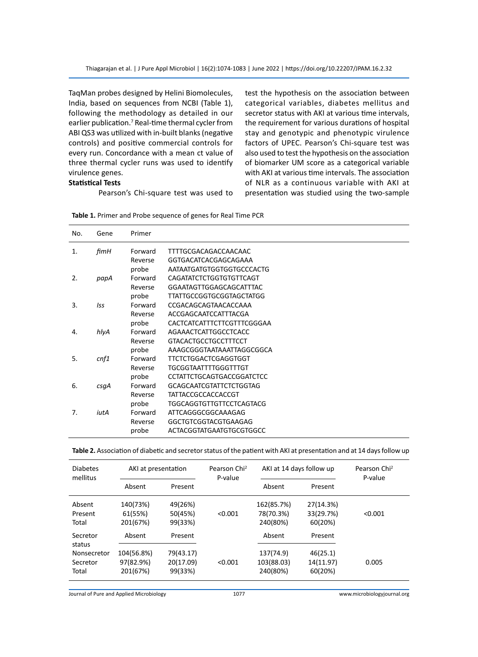TaqMan probes designed by Helini Biomolecules, India, based on sequences from NCBI (Table 1), following the methodology as detailed in our earlier publication.<sup>7</sup> Real-time thermal cycler from ABI QS3 was utilized with in-built blanks (negative controls) and positive commercial controls for every run. Concordance with a mean ct value of three thermal cycler runs was used to identify virulence genes.

## **Statistical Tests**

Pearson's Chi-square test was used to

test the hypothesis on the association between categorical variables, diabetes mellitus and secretor status with AKI at various time intervals, the requirement for various durations of hospital stay and genotypic and phenotypic virulence factors of UPEC. Pearson's Chi-square test was also used to test the hypothesis on the association of biomarker UM score as a categorical variable with AKI at various time intervals. The association of NLR as a continuous variable with AKI at presentation was studied using the two-sample

| No. | Gene       | Primer  |                                  |
|-----|------------|---------|----------------------------------|
| 1.  | fimH       | Forward | TTTTGCGACAGACCAACAAC             |
|     |            | Reverse | GGTGACATCACGAGCAGAAA             |
|     |            | probe   | AATAATGATGTGGTGGTGCCCACTG        |
| 2.  | papA       | Forward | CAGATATCTCTGGTGTGTTCAGT          |
|     |            | Reverse | GGAATAGTTGGAGCAGCATTTAC          |
|     |            | probe   | <b>TTATTGCCGGTGCGGTAGCTATGG</b>  |
| 3.  | <b>Iss</b> | Forward | CCGACAGCAGTAACACCAAA             |
|     |            | Reverse | ACCGAGCAATCCATTTACGA             |
|     |            | probe   | CACTCATCATTTCTTCGTTTCGGGAA       |
| 4.  | hlyA       | Forward | AGAAACTCATTGGCCTCACC             |
|     |            | Reverse | <b>GTACACTGCCTGCCTTTCCT</b>      |
|     |            | probe   | AAAGCGGGTAATAAATTAGGCGGCA        |
| 5.  | cnf1       | Forward | <b>TTCTCTGGACTCGAGGTGGT</b>      |
|     |            | Reverse | <b>TGCGGTAATTTTGGGTTTGT</b>      |
|     |            | probe   | <b>CCTATTCTGCAGTGACCGGATCTCC</b> |
| 6.  | csqA       | Forward | <b>GCAGCAATCGTATTCTCTGGTAG</b>   |
|     |            | Reverse | <b>TATTACCGCCACCACCGT</b>        |
|     |            | probe   | <b>TGGCAGGTGTTGTTCCTCAGTACG</b>  |
| 7.  | iutA       | Forward | ATTCAGGGCGGCAAAGAG               |
|     |            | Reverse | GGCTGTCGGTACGTGAAGAG             |
|     |            | probe   | ACTACGGTATGAATGTGCGTGGCC         |

|  |  | Table 1. Primer and Probe sequence of genes for Real Time PCR |  |  |  |  |
|--|--|---------------------------------------------------------------|--|--|--|--|
|--|--|---------------------------------------------------------------|--|--|--|--|

| Table 2. Association of diabetic and secretor status of the patient with AKI at presentation and at 14 days follow up |  |  |  |
|-----------------------------------------------------------------------------------------------------------------------|--|--|--|
|-----------------------------------------------------------------------------------------------------------------------|--|--|--|

| <b>Diabetes</b><br>mellitus       | AKI at presentation             |                               | Pearson Chi <sup>2</sup><br>P-value | AKI at 14 days follow up            | Pearson Chi <sup>2</sup><br>P-value |         |
|-----------------------------------|---------------------------------|-------------------------------|-------------------------------------|-------------------------------------|-------------------------------------|---------|
|                                   | Absent                          | Present                       |                                     | Absent                              | Present                             |         |
| Absent<br>Present<br>Total        | 140(73%)<br>61(55%)<br>201(67%) | 49(26%)<br>50(45%)<br>99(33%) | < 0.001                             | 162(85.7%)<br>78(70.3%)<br>240(80%) | 27(14.3%)<br>33(29.7%)<br>60(20%)   | < 0.001 |
| Secretor<br>status<br>Nonsecretor | Absent<br>104(56.8%)            | Present<br>79(43.17)          |                                     | Absent<br>137(74.9)                 | Present<br>46(25.1)                 |         |
| Secretor<br>Total                 | 97(82.9%)<br>201(67%)           | 20(17.09)<br>99(33%)          | < 0.001                             | 103(88.03)<br>240(80%)              | 14(11.97)<br>60(20%)                | 0.005   |

Journal of Pure and Applied Microbiology 1077 www.microbiologyjournal.org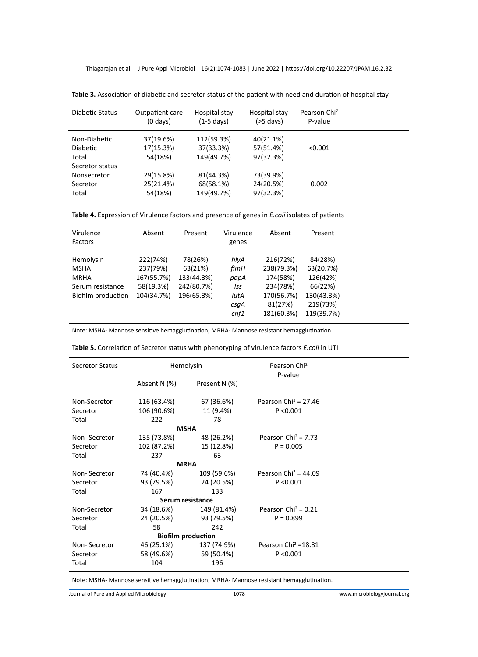Thiagarajan et al. | J Pure Appl Microbiol | 16(2):1074-1083 | June 2022 | https://doi.org/10.22207/JPAM.16.2.32

| Diabetic Status                                     | Outpatient care<br>$(0 \text{ days})$ | Hospital stay<br>$(1-5$ days)         | Hospital stay<br>$(>5$ days)        | Pearson Chi <sup>2</sup><br>P-value |  |
|-----------------------------------------------------|---------------------------------------|---------------------------------------|-------------------------------------|-------------------------------------|--|
| Non-Diabetic<br><b>Diabetic</b><br>Total            | 37(19.6%)<br>17(15.3%)<br>54(18%)     | 112(59.3%)<br>37(33.3%)<br>149(49.7%) | 40(21.1%)<br>57(51.4%)<br>97(32.3%) | < 0.001                             |  |
| Secretor status<br>Nonsecretor<br>Secretor<br>Total | 29(15.8%)<br>25(21.4%)<br>54(18%)     | 81(44.3%)<br>68(58.1%)<br>149(49.7%)  | 73(39.9%)<br>24(20.5%)<br>97(32.3%) | 0.002                               |  |

**Table 3.** Association of diabetic and secretor status of the patient with need and duration of hospital stay

**Table 4.** Expression of Virulence factors and presence of genes in *E.coli* isolates of patients

| Virulence<br>Factors | Absent     | Present    | Virulence<br>genes | Absent     | Present    |  |
|----------------------|------------|------------|--------------------|------------|------------|--|
| Hemolysin            | 222(74%)   | 78(26%)    | hlyA               | 216(72%)   | 84(28%)    |  |
| <b>MSHA</b>          | 237(79%)   | 63(21%)    | fimH               | 238(79.3%) | 63(20.7%)  |  |
| <b>MRHA</b>          | 167(55.7%) | 133(44.3%) | papA               | 174(58%)   | 126(42%)   |  |
| Serum resistance     | 58(19.3%)  | 242(80.7%) | Iss                | 234(78%)   | 66(22%)    |  |
| Biofilm production   | 104(34.7%) | 196(65.3%) | iutA               | 170(56.7%) | 130(43.3%) |  |
|                      |            |            | csgA               | 81(27%)    | 219(73%)   |  |
|                      |            |            | cnf1               | 181(60.3%) | 119(39.7%) |  |

Note: MSHA- Mannose sensitive hemagglutination; MRHA- Mannose resistant hemagglutination.

| <b>Secretor Status</b> | Hemolysin                 |               | Pearson Chi <sup>2</sup><br>P-value |  |
|------------------------|---------------------------|---------------|-------------------------------------|--|
|                        | Absent N (%)              | Present N (%) |                                     |  |
| Non-Secretor           | 116 (63.4%)               | 67 (36.6%)    | Pearson Chi <sup>2</sup> = 27.46    |  |
| Secretor               | 106 (90.6%)               | 11 (9.4%)     | P < 0.001                           |  |
| Total                  | 222                       | 78            |                                     |  |
|                        | <b>MSHA</b>               |               |                                     |  |
| Non-Secretor           | 135 (73.8%)               | 48 (26.2%)    | Pearson Chi <sup>2</sup> = $7.73$   |  |
| Secretor               | 102 (87.2%)               | 15 (12.8%)    | $P = 0.005$                         |  |
| Total                  | 237                       | 63            |                                     |  |
|                        | <b>MRHA</b>               |               |                                     |  |
| Non-Secretor           | 74 (40.4%)                | 109 (59.6%)   | Pearson Chi <sup>2</sup> = 44.09    |  |
| Secretor               | 93 (79.5%)                | 24 (20.5%)    | P < 0.001                           |  |
| Total                  | 167                       | 133           |                                     |  |
|                        | Serum resistance          |               |                                     |  |
| Non-Secretor           | 34 (18.6%)                | 149 (81.4%)   | Pearson Chi <sup>2</sup> = $0.21$   |  |
| Secretor               | 24 (20.5%)                | 93 (79.5%)    | $P = 0.899$                         |  |
| Total                  | 58                        | 242           |                                     |  |
|                        | <b>Biofilm production</b> |               |                                     |  |
| Non-Secretor           | 46 (25.1%)                | 137 (74.9%)   | Pearson Chi <sup>2</sup> = $18.81$  |  |
| Secretor               | 58 (49.6%)                | 59 (50.4%)    | P < 0.001                           |  |
| Total                  | 104                       | 196           |                                     |  |

**Table 5.** Correlation of Secretor status with phenotyping of virulence factors *E.coli* in UTI

Note: MSHA- Mannose sensitive hemagglutination; MRHA- Mannose resistant hemagglutination.

Journal of Pure and Applied Microbiology 1078 www.microbiologyjournal.org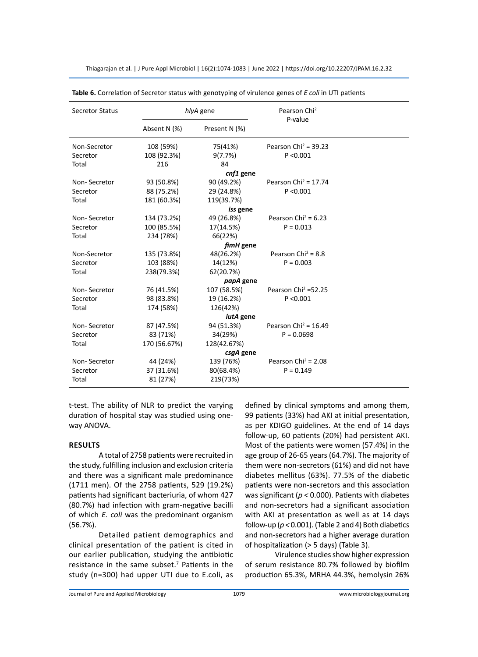| <b>Secretor Status</b> |              | hlyA gene        | Pearson Chi <sup>2</sup><br>P-value |  |
|------------------------|--------------|------------------|-------------------------------------|--|
|                        | Absent N (%) | Present N (%)    |                                     |  |
| Non-Secretor           | 108 (59%)    | 75(41%)          | Pearson Chi <sup>2</sup> = 39.23    |  |
| Secretor               | 108 (92.3%)  | 9(7.7%)          | P < 0.001                           |  |
| Total                  | 216          | 84               |                                     |  |
|                        |              | cnf1 gene        |                                     |  |
| Non-Secretor           | 93 (50.8%)   | 90 (49.2%)       | Pearson Chi <sup>2</sup> = $17.74$  |  |
| Secretor               | 88 (75.2%)   | 29 (24.8%)       | P < 0.001                           |  |
| Total                  | 181 (60.3%)  | 119(39.7%)       |                                     |  |
|                        |              | iss gene         |                                     |  |
| Non-Secretor           | 134 (73.2%)  | 49 (26.8%)       | Pearson Chi <sup>2</sup> = $6.23$   |  |
| Secretor               | 100 (85.5%)  | 17(14.5%)        | $P = 0.013$                         |  |
| Total                  | 234 (78%)    | 66(22%)          |                                     |  |
|                        |              | fimH gene        |                                     |  |
| Non-Secretor           | 135 (73.8%)  | 48(26.2%)        | Pearson Chi <sup>2</sup> = 8.8      |  |
| Secretor               | 103 (88%)    | 14(12%)          | $P = 0.003$                         |  |
| Total                  | 238(79.3%)   | 62(20.7%)        |                                     |  |
|                        |              | papA gene        |                                     |  |
| Non-Secretor           | 76 (41.5%)   | 107 (58.5%)      | Pearson Chi <sup>2</sup> = 52.25    |  |
| Secretor               | 98 (83.8%)   | 19 (16.2%)       | P < 0.001                           |  |
| Total                  | 174 (58%)    | 126(42%)         |                                     |  |
|                        |              | <i>iutA</i> gene |                                     |  |
| Non-Secretor           | 87 (47.5%)   | 94 (51.3%)       | Pearson Chi <sup>2</sup> = $16.49$  |  |
| Secretor               | 83 (71%)     | 34(29%)          | $P = 0.0698$                        |  |
| Total                  | 170 (56.67%) | 128(42.67%)      |                                     |  |
|                        |              | csgA gene        |                                     |  |
| Non-Secretor           | 44 (24%)     | 139 (76%)        | Pearson Chi <sup>2</sup> = $2.08$   |  |
| Secretor               | 37 (31.6%)   | 80(68.4%)        | $P = 0.149$                         |  |
| Total                  | 81 (27%)     | 219(73%)         |                                     |  |

Thiagarajan et al. | J Pure Appl Microbiol | 16(2):1074-1083 | June 2022 | https://doi.org/10.22207/JPAM.16.2.32

**Table 6.** Correlation of Secretor status with genotyping of virulence genes of *E coli* in UTI patients

t-test. The ability of NLR to predict the varying duration of hospital stay was studied using oneway ANOVA.

### **Results**

A total of 2758 patients were recruited in the study, fulfilling inclusion and exclusion criteria and there was a significant male predominance (1711 men). Of the 2758 patients, 529 (19.2%) patients had significant bacteriuria, of whom 427 (80.7%) had infection with gram-negative bacilli of which *E. coli* was the predominant organism (56.7%).

Detailed patient demographics and clinical presentation of the patient is cited in our earlier publication, studying the antibiotic resistance in the same subset.<sup>7</sup> Patients in the study (n=300) had upper UTI due to E.coli, as

defined by clinical symptoms and among them, 99 patients (33%) had AKI at initial presentation, as per KDIGO guidelines. At the end of 14 days follow-up, 60 patients (20%) had persistent AKI. Most of the patients were women (57.4%) in the age group of 26-65 years (64.7%). The majority of them were non-secretors (61%) and did not have diabetes mellitus (63%). 77.5% of the diabetic patients were non-secretors and this association was significant (*p <* 0.000). Patients with diabetes and non-secretors had a significant association with AKI at presentation as well as at 14 days follow-up (*p <* 0.001). (Table 2 and 4) Both diabetics and non-secretors had a higher average duration of hospitalization (> 5 days) (Table 3).

Virulence studies show higher expression of serum resistance 80.7% followed by biofilm production 65.3%, MRHA 44.3%, hemolysin 26%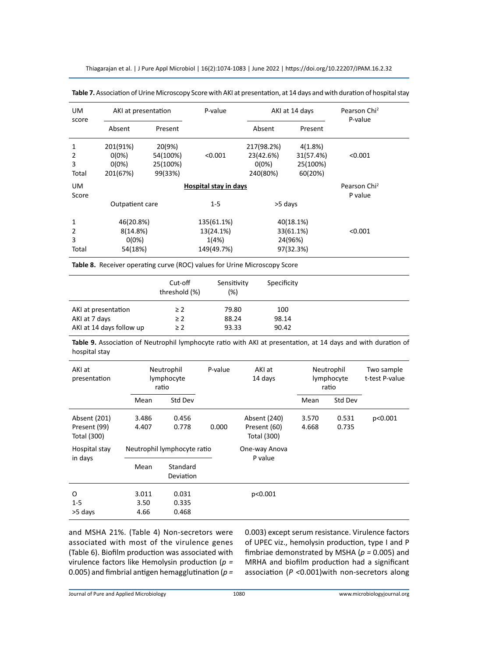Thiagarajan et al. | J Pure Appl Microbiol | 16(2):1074-1083 | June 2022 | https://doi.org/10.22207/JPAM.16.2.32

| UM<br>score          | AKI at presentation                                 |                                           | P-value                                        |                                                 | AKI at 14 days                              | Pearson Chi <sup>2</sup><br>P-value |  |
|----------------------|-----------------------------------------------------|-------------------------------------------|------------------------------------------------|-------------------------------------------------|---------------------------------------------|-------------------------------------|--|
|                      | Absent                                              | Present                                   |                                                | Absent                                          | Present                                     |                                     |  |
| 1<br>2<br>3<br>Total | 201(91%)<br>$0(0\%)$<br>$0(0\%)$<br>201(67%)        | 20(9%)<br>54(100%)<br>25(100%)<br>99(33%) | < 0.001                                        | 217(98.2%)<br>23(42.6%)<br>$0(0\%)$<br>240(80%) | 4(1.8%)<br>31(57.4%)<br>25(100%)<br>60(20%) | < 0.001                             |  |
| UM.<br>Score         | Hospital stay in days<br>Outpatient care<br>$1 - 5$ |                                           |                                                | >5 days                                         |                                             | Pearson Chi <sup>2</sup><br>P value |  |
| 1<br>2<br>3<br>Total | 46(20.8%)<br>8(14.8%)<br>$0(0\%)$<br>54(18%)        |                                           | 135(61.1%)<br>13(24.1%)<br>1(4%)<br>149(49.7%) | 40(18.1%)<br>33(61.1%)<br>24(96%)<br>97(32.3%)  |                                             | < 0.001                             |  |

| Table 7. Association of Urine Microscopy Score with AKI at presentation, at 14 days and with duration of hospital stay |  |
|------------------------------------------------------------------------------------------------------------------------|--|
|------------------------------------------------------------------------------------------------------------------------|--|

**Table 8.** Receiver operating curve (ROC) values for Urine Microscopy Score

|                          | Cut-off<br>threshold (%) | Sensitivity<br>$(\%)$ | Specificity |  |
|--------------------------|--------------------------|-----------------------|-------------|--|
| AKI at presentation      | $\geq$ 2                 | 79.80                 | 100         |  |
| AKI at 7 days            | $\geq 2$                 | 88.24                 | 98.14       |  |
| AKI at 14 days follow up | $\geq$ 2                 | 93.33                 | 90.42       |  |

**Table 9.** Association of Neutrophil lymphocyte ratio with AKI at presentation, at 14 days and with duration of hospital stay

| AKI at<br>presentation                      | Neutrophil<br>lymphocyte<br>ratio |                         | P-value | AKI at<br>14 days                           |                | Neutrophil<br>lymphocyte<br>ratio | Two sample<br>t-test P-value |
|---------------------------------------------|-----------------------------------|-------------------------|---------|---------------------------------------------|----------------|-----------------------------------|------------------------------|
|                                             | Mean                              | Std Dev                 |         |                                             | Mean           | Std Dev                           |                              |
| Absent (201)<br>Present (99)<br>Total (300) | 3.486<br>4.407                    | 0.456<br>0.778          | 0.000   | Absent (240)<br>Present (60)<br>Total (300) | 3.570<br>4.668 | 0.531<br>0.735                    | p<0.001                      |
| Hospital stay                               | Neutrophil lymphocyte ratio       |                         |         | One-way Anova<br>P value                    |                |                                   |                              |
| in days                                     | Mean                              | Standard<br>Deviation   |         |                                             |                |                                   |                              |
| O<br>$1 - 5$<br>>5 days                     | 3.011<br>3.50<br>4.66             | 0.031<br>0.335<br>0.468 |         | p<0.001                                     |                |                                   |                              |

and MSHA 21%. (Table 4) Non-secretors were associated with most of the virulence genes (Table 6). Biofilm production was associated with virulence factors like Hemolysin production (*p =* 0.005) and fimbrial antigen hemagglutination (*p =* 0.003) except serum resistance. Virulence factors of UPEC viz., hemolysin production, type I and P fimbriae demonstrated by MSHA (*p =* 0.005) and MRHA and biofilm production had a significant association (*P <*0.001)with non-secretors along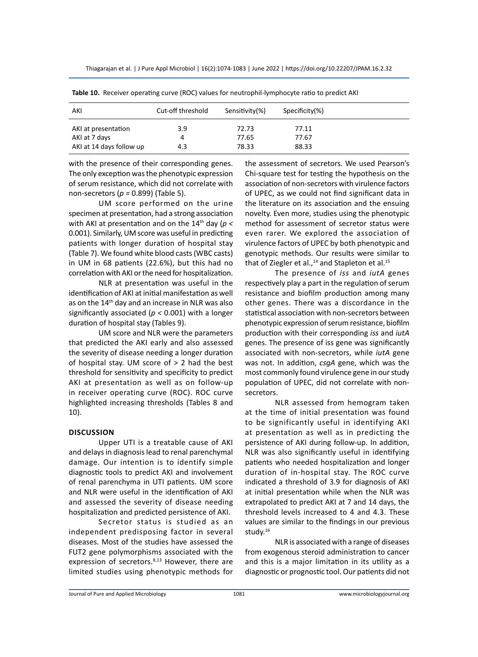| AKI                      | Cut-off threshold | Sensitivity(%) | Specificity(%) |
|--------------------------|-------------------|----------------|----------------|
| AKI at presentation      | 3.9               | 72.73          | 77.11          |
| AKI at 7 days            | 4                 | 77.65          | 77.67          |
| AKI at 14 days follow up | 4.3               | 78.33          | 88.33          |

**Table 10.** Receiver operating curve (ROC) values for neutrophil-lymphocyte ratio to predict AKI

with the presence of their corresponding genes. The only exception was the phenotypic expression of serum resistance, which did not correlate with non-secretors (*p =* 0.899) (Table 5).

UM score performed on the urine specimen at presentation, had a strong association with AKI at presentation and on the 14th day (*p <* 0.001). Similarly, UM score was useful in predicting patients with longer duration of hospital stay (Table 7). We found white blood casts (WBC casts) in UM in 68 patients (22.6%), but this had no correlation with AKI or the need for hospitalization.

NLR at presentation was useful in the identification of AKI at initial manifestation as well as on the 14<sup>th</sup> day and an increase in NLR was also significantly associated (*p <* 0.001) with a longer duration of hospital stay (Tables 9).

UM score and NLR were the parameters that predicted the AKI early and also assessed the severity of disease needing a longer duration of hospital stay. UM score of  $> 2$  had the best threshold for sensitivity and specificity to predict AKI at presentation as well as on follow-up in receiver operating curve (ROC). ROC curve highlighted increasing thresholds (Tables 8 and 10).

## **Discussion**

Upper UTI is a treatable cause of AKI and delays in diagnosis lead to renal parenchymal damage. Our intention is to identify simple diagnostic tools to predict AKI and involvement of renal parenchyma in UTI patients. UM score and NLR were useful in the identification of AKI and assessed the severity of disease needing hospitalization and predicted persistence of AKI.

Secretor status is studied as an independent predisposing factor in several diseases. Most of the studies have assessed the FUT2 gene polymorphisms associated with the expression of secretors.<sup>8,13</sup> However, there are limited studies using phenotypic methods for

the assessment of secretors. We used Pearson's Chi-square test for testing the hypothesis on the association of non-secretors with virulence factors of UPEC, as we could not find significant data in the literature on its association and the ensuing novelty. Even more, studies using the phenotypic method for assessment of secretor status were even rarer. We explored the association of virulence factors of UPEC by both phenotypic and genotypic methods. Our results were similar to that of Ziegler et al.,<sup>14</sup> and Stapleton et al.<sup>15</sup>

The presence of *iss* and *iutA* genes respectively play a part in the regulation of serum resistance and biofilm production among many other genes. There was a discordance in the statistical association with non-secretors between phenotypic expression of serum resistance, biofilm production with their corresponding *iss* and *iutA* genes. The presence of iss gene was significantly associated with non-secretors, while *iutA* gene was not. In addition, *csgA* gene, which was the most commonly found virulence gene in our study population of UPEC, did not correlate with nonsecretors.

NLR assessed from hemogram taken at the time of initial presentation was found to be significantly useful in identifying AKI at presentation as well as in predicting the persistence of AKI during follow-up. In addition, NLR was also significantly useful in identifying patients who needed hospitalization and longer duration of in-hospital stay. The ROC curve indicated a threshold of 3.9 for diagnosis of AKI at initial presentation while when the NLR was extrapolated to predict AKI at 7 and 14 days, the threshold levels increased to 4 and 4.3. These values are similar to the findings in our previous study.16

NLR is associated with a range of diseases from exogenous steroid administration to cancer and this is a major limitation in its utility as a diagnostic or prognostic tool. Our patients did not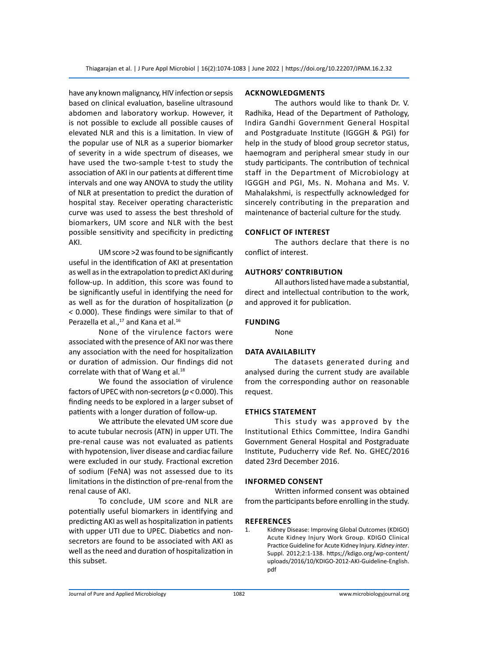have any known malignancy, HIV infection or sepsis based on clinical evaluation, baseline ultrasound abdomen and laboratory workup. However, it is not possible to exclude all possible causes of elevated NLR and this is a limitation. In view of the popular use of NLR as a superior biomarker of severity in a wide spectrum of diseases, we have used the two-sample t-test to study the association of AKI in our patients at different time intervals and one way ANOVA to study the utility of NLR at presentation to predict the duration of hospital stay. Receiver operating characteristic curve was used to assess the best threshold of biomarkers, UM score and NLR with the best possible sensitivity and specificity in predicting AKI.

UM score >2 was found to be significantly useful in the identification of AKI at presentation as well as in the extrapolation to predict AKI during follow-up. In addition, this score was found to be significantly useful in identifying the need for as well as for the duration of hospitalization (*p <* 0.000). These findings were similar to that of Perazella et al.,<sup>17</sup> and Kana et al.<sup>16</sup>

None of the virulence factors were associated with the presence of AKI nor was there any association with the need for hospitalization or duration of admission. Our findings did not correlate with that of Wang et al. $18$ 

We found the association of virulence factors of UPEC with non-secretors (*p <* 0.000). This finding needs to be explored in a larger subset of patients with a longer duration of follow-up.

We attribute the elevated UM score due to acute tubular necrosis (ATN) in upper UTI. The pre-renal cause was not evaluated as patients with hypotension, liver disease and cardiac failure were excluded in our study. Fractional excretion of sodium (FeNA) was not assessed due to its limitations in the distinction of pre-renal from the renal cause of AKI.

To conclude, UM score and NLR are potentially useful biomarkers in identifying and predicting AKI as well as hospitalization in patients with upper UTI due to UPEC. Diabetics and nonsecretors are found to be associated with AKI as well as the need and duration of hospitalization in this subset.

## **Acknowledgments**

The authors would like to thank Dr. V. Radhika, Head of the Department of Pathology, Indira Gandhi Government General Hospital and Postgraduate Institute (IGGGH & PGI) for help in the study of blood group secretor status, haemogram and peripheral smear study in our study participants. The contribution of technical staff in the Department of Microbiology at IGGGH and PGI, Ms. N. Mohana and Ms. V. Mahalakshmi, is respectfully acknowledged for sincerely contributing in the preparation and maintenance of bacterial culture for the study.

# **Conflict Of Interest**

The authors declare that there is no conflict of interest.

# **AuthorS' Contribution**

All authors listed have made a substantial, direct and intellectual contribution to the work, and approved it for publication.

# **Funding**

None

# **Data Availability**

The datasets generated during and analysed during the current study are available from the corresponding author on reasonable request.

## **EthicS STATEMENT**

This study was approved by the Institutional Ethics Committee, Indira Gandhi Government General Hospital and Postgraduate Institute, Puducherry vide Ref. No. GHEC/2016 dated 23rd December 2016.

## **Informed Consent**

Written informed consent was obtained from the participants before enrolling in the study.

## **References**

1. Kidney Disease: Improving Global Outcomes (KDIGO) Acute Kidney Injury Work Group. KDIGO Clinical Practice Guideline for Acute Kidney Injury. *Kidney inter*. Suppl. 2012;2:1-138. https;//kdigo.org/wp-content/ uploads/2016/10/KDIGO-2012-AKI-Guideline-English. pdf